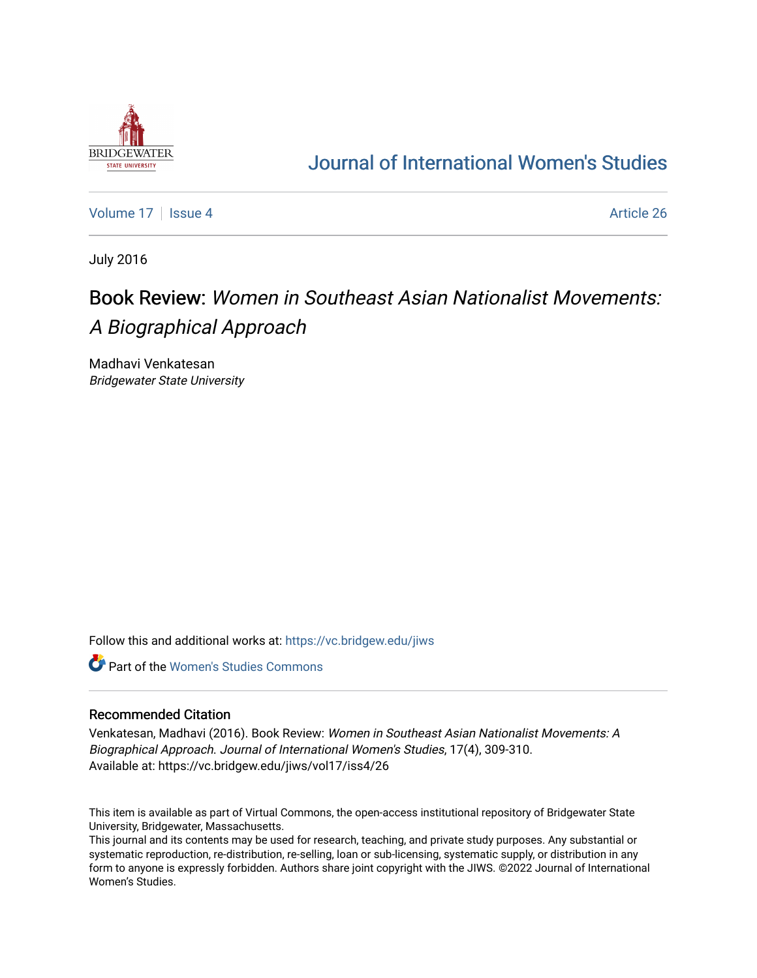

## [Journal of International Women's Studies](https://vc.bridgew.edu/jiws)

[Volume 17](https://vc.bridgew.edu/jiws/vol17) | [Issue 4](https://vc.bridgew.edu/jiws/vol17/iss4) Article 26

July 2016

# Book Review: Women in Southeast Asian Nationalist Movements: A Biographical Approach

Madhavi Venkatesan Bridgewater State University

Follow this and additional works at: [https://vc.bridgew.edu/jiws](https://vc.bridgew.edu/jiws?utm_source=vc.bridgew.edu%2Fjiws%2Fvol17%2Fiss4%2F26&utm_medium=PDF&utm_campaign=PDFCoverPages)

**C** Part of the Women's Studies Commons

#### Recommended Citation

Venkatesan, Madhavi (2016). Book Review: Women in Southeast Asian Nationalist Movements: A Biographical Approach. Journal of International Women's Studies, 17(4), 309-310. Available at: https://vc.bridgew.edu/jiws/vol17/iss4/26

This item is available as part of Virtual Commons, the open-access institutional repository of Bridgewater State University, Bridgewater, Massachusetts.

This journal and its contents may be used for research, teaching, and private study purposes. Any substantial or systematic reproduction, re-distribution, re-selling, loan or sub-licensing, systematic supply, or distribution in any form to anyone is expressly forbidden. Authors share joint copyright with the JIWS. ©2022 Journal of International Women's Studies.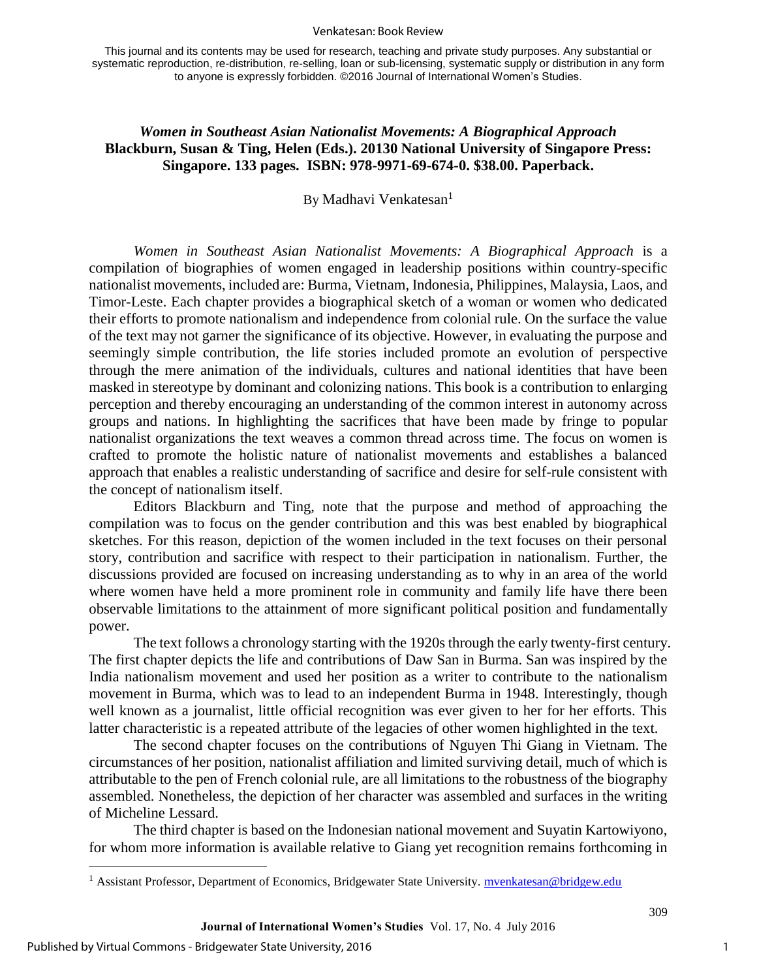#### Venkatesan: Book Review

This journal and its contents may be used for research, teaching and private study purposes. Any substantial or systematic reproduction, re-distribution, re-selling, loan or sub-licensing, systematic supply or distribution in any form to anyone is expressly forbidden. ©2016 Journal of International Women's Studies.

### *Women in Southeast Asian Nationalist Movements: A Biographical Approach*  **Blackburn, Susan & Ting, Helen (Eds.). 20130 National University of Singapore Press: Singapore. 133 pages. ISBN: 978-9971-69-674-0. \$38.00. Paperback.**

By Madhavi Venkatesan<sup>1</sup>

*Women in Southeast Asian Nationalist Movements: A Biographical Approach* is a compilation of biographies of women engaged in leadership positions within country-specific nationalist movements, included are: Burma, Vietnam, Indonesia, Philippines, Malaysia, Laos, and Timor-Leste. Each chapter provides a biographical sketch of a woman or women who dedicated their efforts to promote nationalism and independence from colonial rule. On the surface the value of the text may not garner the significance of its objective. However, in evaluating the purpose and seemingly simple contribution, the life stories included promote an evolution of perspective through the mere animation of the individuals, cultures and national identities that have been masked in stereotype by dominant and colonizing nations. This book is a contribution to enlarging perception and thereby encouraging an understanding of the common interest in autonomy across groups and nations. In highlighting the sacrifices that have been made by fringe to popular nationalist organizations the text weaves a common thread across time. The focus on women is crafted to promote the holistic nature of nationalist movements and establishes a balanced approach that enables a realistic understanding of sacrifice and desire for self-rule consistent with the concept of nationalism itself.

Editors Blackburn and Ting, note that the purpose and method of approaching the compilation was to focus on the gender contribution and this was best enabled by biographical sketches. For this reason, depiction of the women included in the text focuses on their personal story, contribution and sacrifice with respect to their participation in nationalism. Further, the discussions provided are focused on increasing understanding as to why in an area of the world where women have held a more prominent role in community and family life have there been observable limitations to the attainment of more significant political position and fundamentally power.

The text follows a chronology starting with the 1920s through the early twenty-first century. The first chapter depicts the life and contributions of Daw San in Burma. San was inspired by the India nationalism movement and used her position as a writer to contribute to the nationalism movement in Burma, which was to lead to an independent Burma in 1948. Interestingly, though well known as a journalist, little official recognition was ever given to her for her efforts. This latter characteristic is a repeated attribute of the legacies of other women highlighted in the text.

The second chapter focuses on the contributions of Nguyen Thi Giang in Vietnam. The circumstances of her position, nationalist affiliation and limited surviving detail, much of which is attributable to the pen of French colonial rule, are all limitations to the robustness of the biography assembled. Nonetheless, the depiction of her character was assembled and surfaces in the writing of Micheline Lessard.

The third chapter is based on the Indonesian national movement and Suyatin Kartowiyono, for whom more information is available relative to Giang yet recognition remains forthcoming in

 $\overline{a}$ 

1

309

<sup>&</sup>lt;sup>1</sup> Assistant Professor, Department of Economics, Bridgewater State University. **mvenkatesan@bridgew.edu**